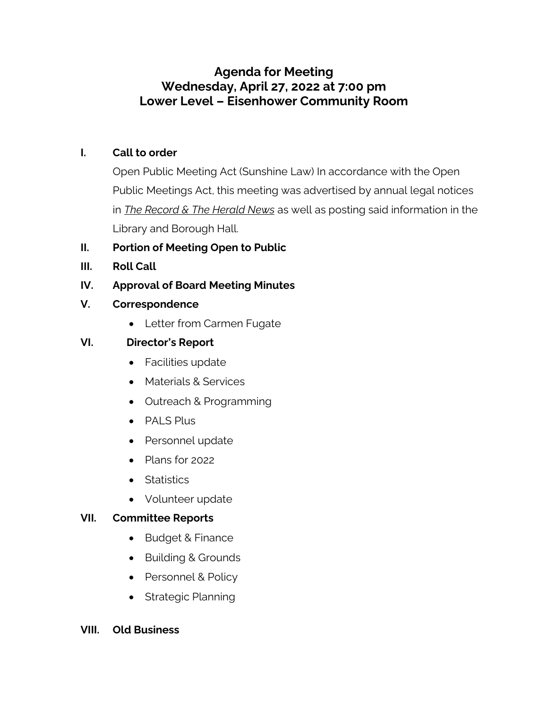# **Agenda for Meeting Wednesday, April 27, 2022 at 7:00 pm Lower Level – Eisenhower Community Room**

### **I. Call to order**

Open Public Meeting Act (Sunshine Law) In accordance with the Open Public Meetings Act, this meeting was advertised by annual legal notices in *The Record & The Herald News* as well as posting said information in the Library and Borough Hall.

#### **II. Portion of Meeting Open to Public**

**III. Roll Call**

### **IV. Approval of Board Meeting Minutes**

- **V. Correspondence**
	- Letter from Carmen Fugate

### **VI. Director's Report**

- Facilities update
- Materials & Services
- Outreach & Programming
- PALS Plus
- Personnel update
- Plans for 2022
- Statistics
- Volunteer update

#### **VII. Committee Reports**

- Budget & Finance
- Building & Grounds
- Personnel & Policy
- Strategic Planning

#### **VIII. Old Business**